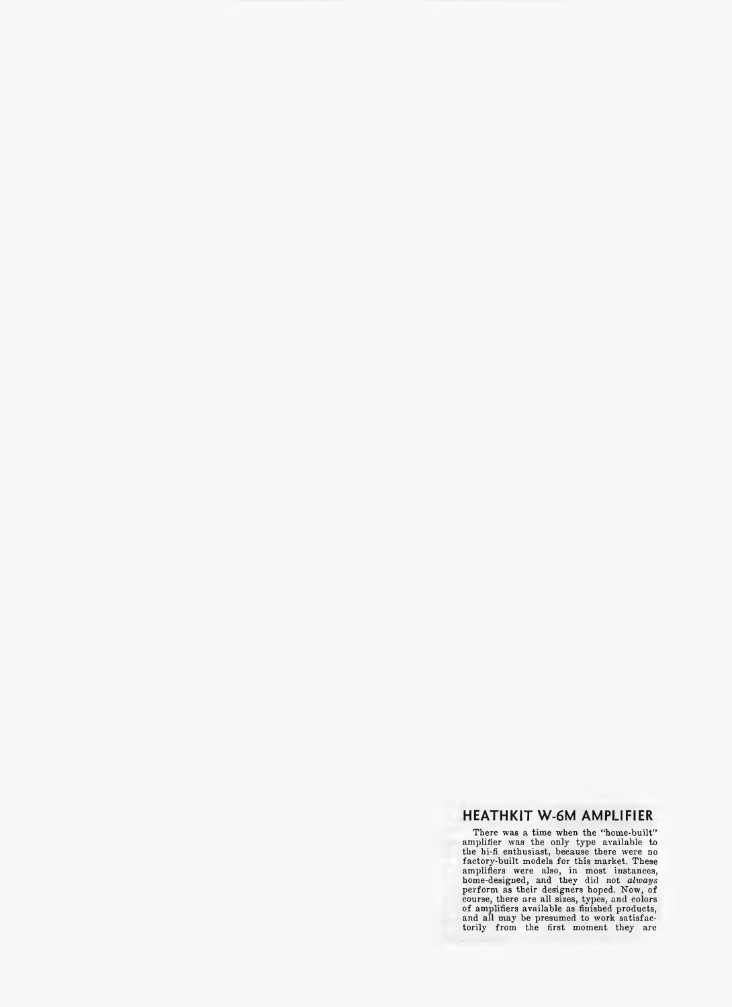## HEATHKIT W-6M AMPLIFIER

There was a time when the "home-built" amplilier was the only type available to the hi-fi enthusiast, because there were no factory-built models for this market. These<br>amplifiers were also, in most instances,<br>home-designed, and they did not *always*<br>perform as their designers hoped. Now, of<br>course, there are all sizes, types, and colors<br>of ampl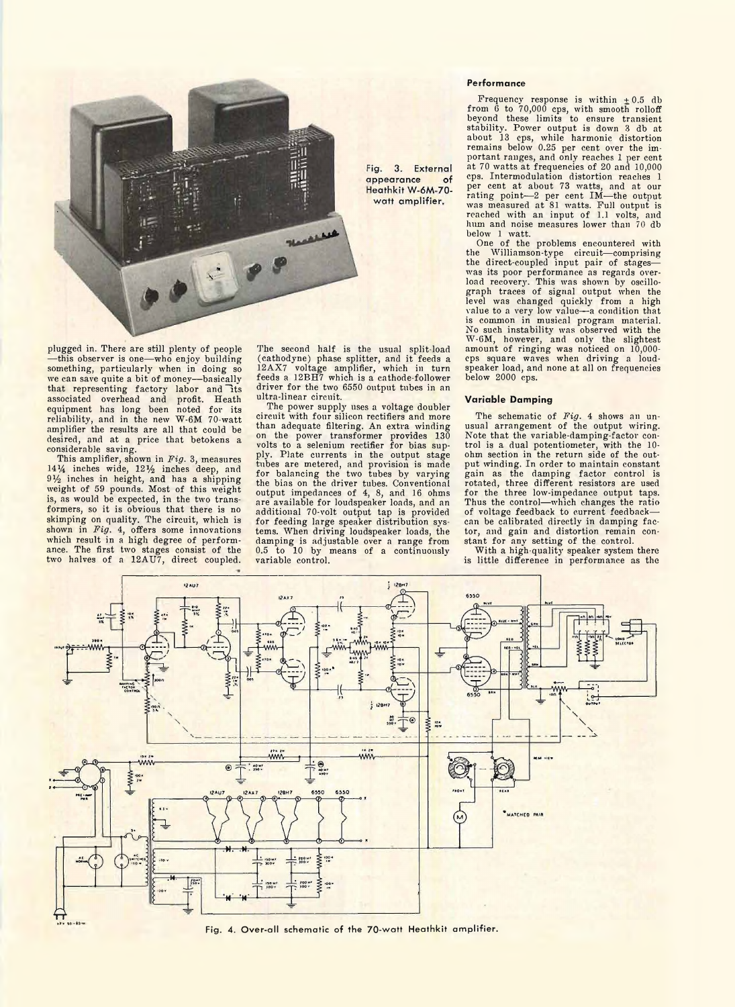

plugged in. There are still plenty of people -this observer is one—who enjoy building something, particularly when in doing so we can save quite a bit of money— basically that representing factory labor and its associated overhead and profit. Heath equipment has long been noted for its reliability, and in the new W-6M 70-watt amplifier the results are all that could be desired, and at a price that betokens a

considerable saving. This amplifier, shown in *Fig.* 3, measures 14% inches wide, 12% inches deep, and  $9\frac{1}{2}$  inches in height, and has a shipping weight of 59 pounds. Most of this weight is, as would be expected, in the two transformers, so it is obvious that there is no skimping on quality. The circuit, which is shown in *Fig.* 4, offers some innovations which result in a high degree of performance. The first two stages consist of the two halves of a 12AU7, direct coupled.

The second half is the usual split-load (cathodyne) phase splitter, and it feeds a 12AX7 voltage amplifier, which in turn feeds a 12BH7 which is a cathode-follower driver for the two 6550 output tubes in an ultra-linear circuit.

The power supply uses a voltage doubler circuit with four silicon rectifiers and more than adequate filtering. An extra winding on the power transformer provides 130 volts to a selenium rectifier for bias supply. Plate currents in the output stage tubes are metered, and provision is made for balancing the two tubes by varying the bias on the driver tubes. Conventional output impedances of 4, 8, and 16 ohms are available for loudspeaker loads, and an additional 70-volt output tap is provided<br>for feeding large speaker distribution systems. When driving loudspeaker loads, the damping is adjustable over a range from 0.5 to 10 by means of a continuously variable control.

## **Performance**

 $\alpha$ f

Frequency response is within  $\pm 0.5$  db from 6 to 70,000 cps, with smooth rolloff beyond these limits to ensure transient stability. Power output is down 3 db at about 13 cps, while harmonic distortion remains below 0.25 per cent over the important ranges, and only reaches 1 per cent at 70 watts at frequencies of 20 and 10,000 cps. Intermodulation distortion reaches 1 per cent at about 73 watts, and at our rating point— 2 per cent IM—the output was measured at 81 watts. Full output is reached with an input of 1.1 volts, and hum and noise measures lower than 70 db

below 1 watt.<br>
One of the problems encountered with<br>
the Williamson-type circuit—comprising the direct-coupled input pair of stages was its poor performance as regards overload recovery. This was shown by oscillograph traces of signal output when the level was changed quickly from a high value to a very low value— a condition that is common in musical program material. No such instability was observed with the W-6M, however, and only the slightest amount of ringing was noticed on 10,000cps square waves when driving a loudspeaker load, and none at all on frequencies below 2000 cps.

## Variable Damping

The schematic of *Fig.* 4 shows an unusual arrangement of the output wiring. Note that the variable-damping-factor control is a dual potentiometer, with the 10 ohm section in the return side of the output winding. In order to maintain constant gain as the damping factor control is rotated, three different resistors are used for the three low-impedance output taps. Thus the control—which changes the ratio of voltage feedback to current feedback can be calibrated directly in damping factor, and gain and distortion remain constant for any setting of the control.

With a high-quality speaker system there is little difference in performance as the



Fig. 4. Over-all schematic of the 70-watt Heathkit amplifier.